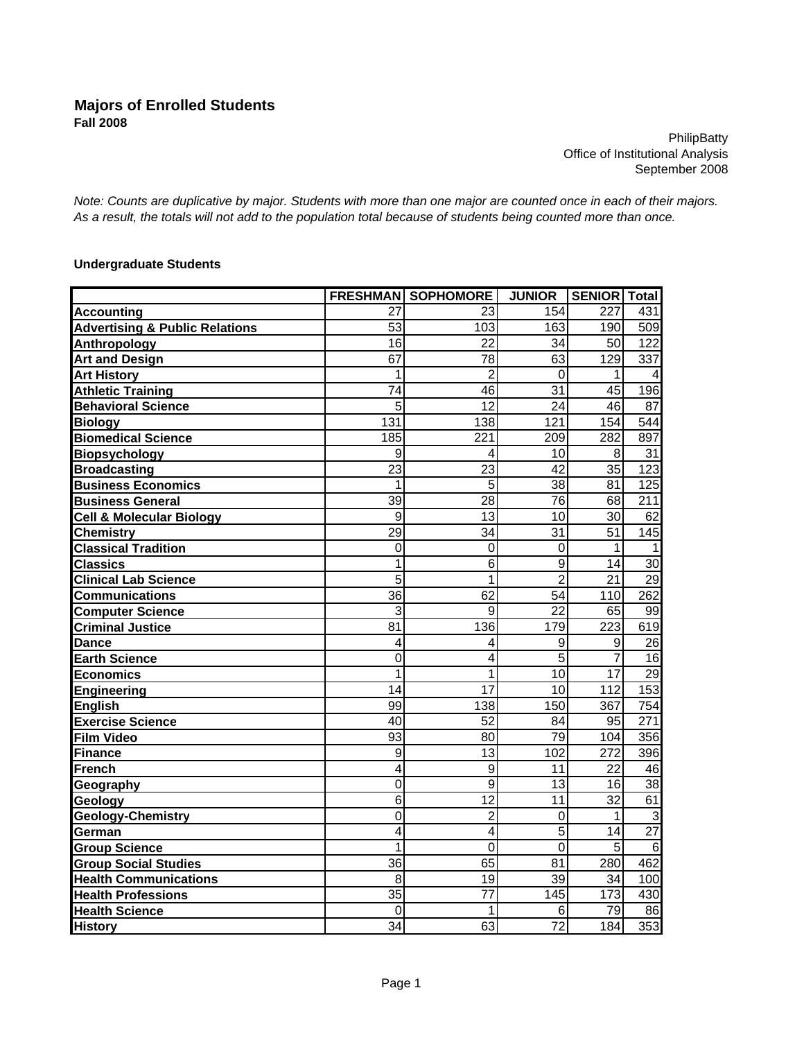**PhilipBatty** Office of Institutional Analysis September 2008

*Note: Counts are duplicative by major. Students with more than one major are counted once in each of their majors. As a result, the totals will not add to the population total because of students being counted more than once.*

## **Undergraduate Students**

|                                           |                 | <b>FRESHMAN SOPHOMORE</b> | <b>JUNIOR</b>   | SENIOR   Total |                  |
|-------------------------------------------|-----------------|---------------------------|-----------------|----------------|------------------|
| <b>Accounting</b>                         | 27              | 23                        | 154             | 227            | 431              |
| <b>Advertising &amp; Public Relations</b> | 53              | 103                       | 163             | 190            | 509              |
| Anthropology                              | 16              | 22                        | 34              | 50             | 122              |
| <b>Art and Design</b>                     | 67              | 78                        | 63              | 129            | $\overline{337}$ |
| <b>Art History</b>                        | 1               | 2                         | 0               | 1              | 4                |
| <b>Athletic Training</b>                  | 74              | 46                        | $\overline{31}$ | 45             | 196              |
| <b>Behavioral Science</b>                 | 5               | $\overline{12}$           | 24              | 46             | 87               |
| <b>Biology</b>                            | 131             | 138                       | 121             | 154            | 544              |
| <b>Biomedical Science</b>                 | 185             | 221                       | 209             | 282            | 897              |
| <b>Biopsychology</b>                      | 9               | 4                         | 10              | 8              | 31               |
| <b>Broadcasting</b>                       | 23              | 23                        | 42              | 35             | 123              |
| <b>Business Economics</b>                 | 1               | 5                         | $\overline{38}$ | 81             | 125              |
| <b>Business General</b>                   | 39              | 28                        | 76              | 68             | 211              |
| <b>Cell &amp; Molecular Biology</b>       | 9               | 13                        | 10              | 30             | 62               |
| <b>Chemistry</b>                          | 29              | 34                        | 31              | 51             | 145              |
| <b>Classical Tradition</b>                | 0               | 0                         | 0               | 1              | 1                |
| <b>Classics</b>                           | 1               | $\overline{6}$            | $\overline{9}$  | 14             | 30               |
| <b>Clinical Lab Science</b>               | 5               | 1                         | $\overline{2}$  | 21             | $\overline{29}$  |
| <b>Communications</b>                     | 36              | 62                        | 54              | 110            | 262              |
| <b>Computer Science</b>                   | 3               | 9                         | 22              | 65             | 99               |
| <b>Criminal Justice</b>                   | 81              | 136                       | 179             | 223            | 619              |
| <b>Dance</b>                              | 4               | 4                         | 9               | 9              | 26               |
| <b>Earth Science</b>                      | 0               | 4                         | 5               | $\overline{7}$ | 16               |
| Economics                                 | 1               | 1                         | 10              | 17             | $\overline{29}$  |
| Engineering                               | 14              | 17                        | 10              | 112            | 153              |
| <b>English</b>                            | 99              | 138                       | 150             | 367            | 754              |
| <b>Exercise Science</b>                   | 40              | 52                        | 84              | 95             | 271              |
| <b>Film Video</b>                         | 93              | 80                        | 79              | 104            | 356              |
| <b>Finance</b>                            | 9               | 13                        | 102             | 272            | 396              |
| French                                    | 4               | 9                         | 11              | 22             | 46               |
| Geography                                 | 0               | 9                         | 13              | 16             | 38               |
| Geology                                   | 6               | 12                        | 11              | 32             | 61               |
| <b>Geology-Chemistry</b>                  | $\overline{0}$  | $\overline{2}$            | 0               | 1              | دن               |
| German                                    | 4               | 4                         | 5               | 14             | $\overline{27}$  |
| <b>Group Science</b>                      | 1               | 0                         | $\mathbf 0$     | 5              | $\overline{6}$   |
| <b>Group Social Studies</b>               | 36              | 65                        | 81              | 280            | 462              |
| <b>Health Communications</b>              | 8               | 19                        | 39              | 34             | 100              |
| <b>Health Professions</b>                 | $\overline{35}$ | $\overline{77}$           | 145             | 173            | 430              |
| <b>Health Science</b>                     | 0               |                           | 6               | 79             | 86               |
| <b>History</b>                            | 34              | 63                        | 72              | 184            | 353              |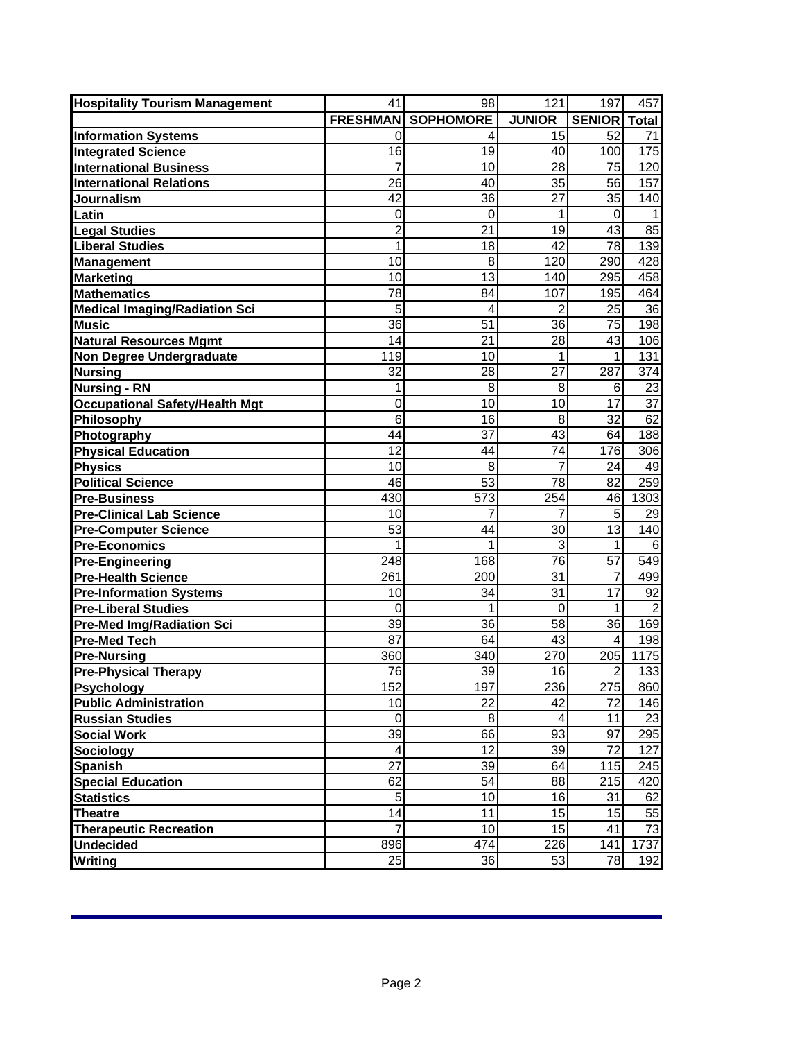| <b>Hospitality Tourism Management</b>               | 41             | 98                        | 121              | 197             | 457              |
|-----------------------------------------------------|----------------|---------------------------|------------------|-----------------|------------------|
|                                                     |                | <b>FRESHMAN SOPHOMORE</b> | <b>JUNIOR</b>    | <b>SENIOR</b>   | <b>Total</b>     |
| <b>Information Systems</b>                          | 0              | 4                         | 15               | 52              | 71               |
| <b>Integrated Science</b>                           | 16             | 19                        | 40               | 100             | 175              |
| <b>International Business</b>                       | 7              | 10                        | 28               | 75              | 120              |
| <b>International Relations</b>                      | 26             | 40                        | 35               | 56              | 157              |
| Journalism                                          | 42             | 36                        | $\overline{27}$  | 35              | 140              |
| Latin                                               | 0              | $\mathbf 0$               | 1                | 0               | 1                |
| <b>Legal Studies</b>                                | 2              | 21                        | 19               | 43              | 85               |
| <b>Liberal Studies</b>                              | 1              | 18                        | $\overline{42}$  | $\overline{78}$ | 139              |
| <b>Management</b>                                   | 10             | 8                         | 120              | 290             | 428              |
| <b>Marketing</b>                                    | 10             | 13                        | 140              | 295             | 458              |
| <b>Mathematics</b>                                  | 78             | 84                        | 107              | 195             | 464              |
| <b>Medical Imaging/Radiation Sci</b>                | 5              | 4                         | 2                | 25              | 36               |
| <b>Music</b>                                        | 36             | 51                        | 36               | 75              | 198              |
| <b>Natural Resources Mgmt</b>                       | 14             | 21                        | 28               | 43              | 106              |
| <b>Non Degree Undergraduate</b>                     | 119            | 10                        |                  | 1               | 131              |
| <b>Nursing</b>                                      | 32             | 28                        | 27               | 287             | 374              |
| <b>Nursing - RN</b>                                 | 1              | 8                         | 8                | 6               | 23               |
| <b>Occupational Safety/Health Mgt</b>               | 0              | 10                        | 10               | 17              | 37               |
| Philosophy                                          | 6              | 16                        | 8                | 32              | 62               |
| Photography                                         | 44             | 37                        | 43               | 64              | 188              |
| <b>Physical Education</b>                           | 12             | 44                        | 74               | 176             | 306              |
| <b>Physics</b>                                      | 10             | 8                         | 7                | 24              | 49               |
| <b>Political Science</b>                            | 46             | 53                        | 78               | 82              | 259              |
| <b>Pre-Business</b>                                 | 430            | 573                       | 254              | 46              | 1303             |
| <b>Pre-Clinical Lab Science</b>                     | 10<br>53       | 7<br>44                   | 30               | 5<br>13         | 29<br>140        |
| <b>Pre-Computer Science</b><br><b>Pre-Economics</b> | 1              | 1                         | 3                | 1               | 6                |
| <b>Pre-Engineering</b>                              | 248            | 168                       | 76               | 57              | 549              |
| <b>Pre-Health Science</b>                           | 261            | 200                       | 31               | 7               | 499              |
| <b>Pre-Information Systems</b>                      | 10             | 34                        | 31               | 17              | 92               |
| <b>Pre-Liberal Studies</b>                          | 0              | 1                         | $\mathbf 0$      | 1               | $\overline{2}$   |
| <b>Pre-Med Img/Radiation Sci</b>                    | 39             | 36                        | 58               | 36              | 169              |
| <b>Pre-Med Tech</b>                                 | 87             | 64                        | 43               | 4               | 198              |
| <b>Pre-Nursing</b>                                  | 360            | 340                       | 270              | 205             | 1175             |
| <b>Pre-Physical Therapy</b>                         | 76             | 39                        | 16               | $\overline{2}$  | $\overline{133}$ |
| <b>Psychology</b>                                   | 152            | 197                       | 236              | 275             | 860              |
| <b>Public Administration</b>                        | 10             | 22                        | 42               | 72              | 146              |
| <b>Russian Studies</b>                              | $\pmb{0}$      | 8                         | 4                | 11              | 23               |
| <b>Social Work</b>                                  | 39             | 66                        | 93               | 97              | 295              |
| <b>Sociology</b>                                    | 4              | 12                        | 39               | 72              | 127              |
| <b>Spanish</b>                                      | 27             | 39                        | 64               | 115             | 245              |
| <b>Special Education</b>                            | 62             | 54                        | 88               | 215             | 420              |
| <b>Statistics</b>                                   | $\overline{5}$ | 10                        | 16               | 31              | 62               |
| <b>Theatre</b>                                      | 14             | 11                        | 15               | 15              | 55               |
| <b>Therapeutic Recreation</b>                       | $\overline{7}$ | 10                        | 15               | 41              | $\overline{73}$  |
| <b>Undecided</b>                                    | 896            | 474                       | $\overline{2}26$ | 141             | 1737             |
| <b>Writing</b>                                      | 25             | 36                        | 53               | 78              | 192              |